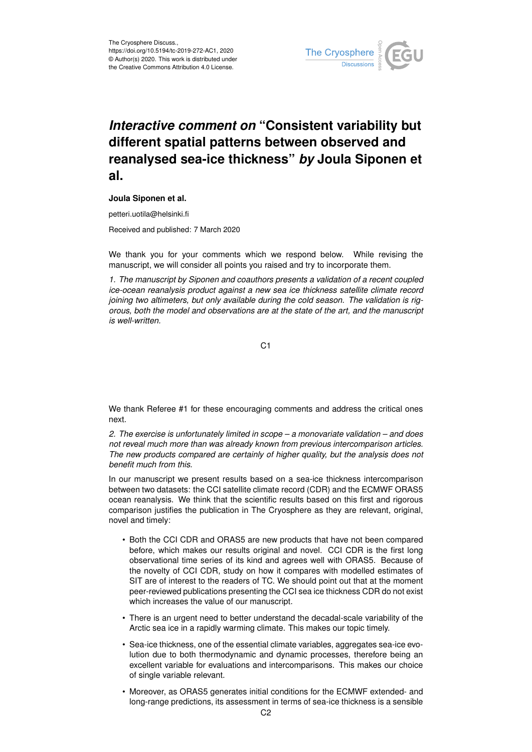

## *Interactive comment on* **"Consistent variability but different spatial patterns between observed and reanalysed sea-ice thickness"** *by* **Joula Siponen et al.**

## **Joula Siponen et al.**

petteri.uotila@helsinki.fi

Received and published: 7 March 2020

We thank you for your comments which we respond below. While revising the manuscript, we will consider all points you raised and try to incorporate them.

*1. The manuscript by Siponen and coauthors presents a validation of a recent coupled ice-ocean reanalysis product against a new sea ice thickness satellite climate record joining two altimeters, but only available during the cold season. The validation is rigorous, both the model and observations are at the state of the art, and the manuscript is well-written.*

C1

We thank Referee #1 for these encouraging comments and address the critical ones next.

*2. The exercise is unfortunately limited in scope – a monovariate validation – and does not reveal much more than was already known from previous intercomparison articles. The new products compared are certainly of higher quality, but the analysis does not benefit much from this.*

In our manuscript we present results based on a sea-ice thickness intercomparison between two datasets: the CCI satellite climate record (CDR) and the ECMWF ORAS5 ocean reanalysis. We think that the scientific results based on this first and rigorous comparison justifies the publication in The Cryosphere as they are relevant, original, novel and timely:

- Both the CCI CDR and ORAS5 are new products that have not been compared before, which makes our results original and novel. CCI CDR is the first long observational time series of its kind and agrees well with ORAS5. Because of the novelty of CCI CDR, study on how it compares with modelled estimates of SIT are of interest to the readers of TC. We should point out that at the moment peer-reviewed publications presenting the CCI sea ice thickness CDR do not exist which increases the value of our manuscript.
- There is an urgent need to better understand the decadal-scale variability of the Arctic sea ice in a rapidly warming climate. This makes our topic timely.
- Sea-ice thickness, one of the essential climate variables, aggregates sea-ice evolution due to both thermodynamic and dynamic processes, therefore being an excellent variable for evaluations and intercomparisons. This makes our choice of single variable relevant.
- Moreover, as ORAS5 generates initial conditions for the ECMWF extended- and long-range predictions, its assessment in terms of sea-ice thickness is a sensible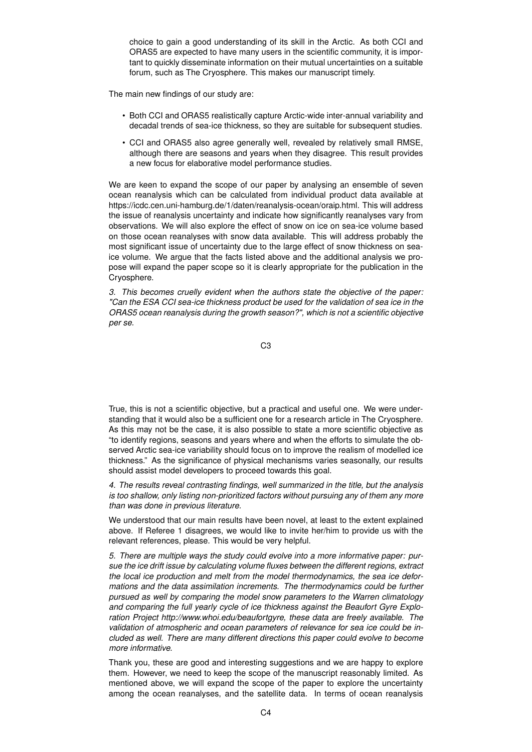choice to gain a good understanding of its skill in the Arctic. As both CCI and ORAS5 are expected to have many users in the scientific community, it is important to quickly disseminate information on their mutual uncertainties on a suitable forum, such as The Cryosphere. This makes our manuscript timely.

The main new findings of our study are:

- Both CCI and ORAS5 realistically capture Arctic-wide inter-annual variability and decadal trends of sea-ice thickness, so they are suitable for subsequent studies.
- CCI and ORAS5 also agree generally well, revealed by relatively small RMSE, although there are seasons and years when they disagree. This result provides a new focus for elaborative model performance studies.

We are keen to expand the scope of our paper by analysing an ensemble of seven ocean reanalysis which can be calculated from individual product data available at https://icdc.cen.uni-hamburg.de/1/daten/reanalysis-ocean/oraip.html. This will address the issue of reanalysis uncertainty and indicate how significantly reanalyses vary from observations. We will also explore the effect of snow on ice on sea-ice volume based on those ocean reanalyses with snow data available. This will address probably the most significant issue of uncertainty due to the large effect of snow thickness on seaice volume. We argue that the facts listed above and the additional analysis we propose will expand the paper scope so it is clearly appropriate for the publication in the Cryosphere.

*3. This becomes cruelly evident when the authors state the objective of the paper: "Can the ESA CCI sea-ice thickness product be used for the validation of sea ice in the ORAS5 ocean reanalysis during the growth season?", which is not a scientific objective per se.*

C3

True, this is not a scientific objective, but a practical and useful one. We were understanding that it would also be a sufficient one for a research article in The Cryosphere. As this may not be the case, it is also possible to state a more scientific objective as "to identify regions, seasons and years where and when the efforts to simulate the observed Arctic sea-ice variability should focus on to improve the realism of modelled ice thickness." As the significance of physical mechanisms varies seasonally, our results should assist model developers to proceed towards this goal.

*4. The results reveal contrasting findings, well summarized in the title, but the analysis is too shallow, only listing non-prioritized factors without pursuing any of them any more than was done in previous literature.*

We understood that our main results have been novel, at least to the extent explained above. If Referee 1 disagrees, we would like to invite her/him to provide us with the relevant references, please. This would be very helpful.

*5. There are multiple ways the study could evolve into a more informative paper: pursue the ice drift issue by calculating volume fluxes between the different regions, extract the local ice production and melt from the model thermodynamics, the sea ice deformations and the data assimilation increments. The thermodynamics could be further pursued as well by comparing the model snow parameters to the Warren climatology and comparing the full yearly cycle of ice thickness against the Beaufort Gyre Exploration Project http://www.whoi.edu/beaufortgyre, these data are freely available. The validation of atmospheric and ocean parameters of relevance for sea ice could be included as well. There are many different directions this paper could evolve to become more informative.*

Thank you, these are good and interesting suggestions and we are happy to explore them. However, we need to keep the scope of the manuscript reasonably limited. As mentioned above, we will expand the scope of the paper to explore the uncertainty among the ocean reanalyses, and the satellite data. In terms of ocean reanalysis